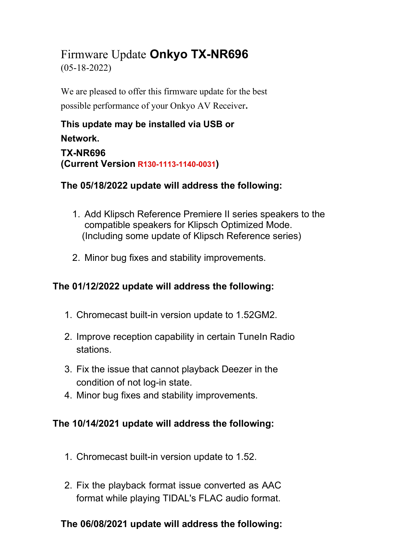## Firmware Update **Onkyo TX-NR696** (05-18-2022)

We are pleased to offer this firmware update for the best possible performance of your Onkyo AV Receiver**.**

# **This update may be installed via USB or Network.**

**TX-NR696 (Current Version R130-1113-1140-0031)**

## **The 05/18/2022 update will address the following:**

- 1. Add Klipsch Reference Premiere II series speakers to the compatible speakers for Klipsch Optimized Mode. (Including some update of Klipsch Reference series)
- 2. Minor bug fixes and stability improvements.

## **The 01/12/2022 update will address the following:**

- 1. Chromecast built-in version update to 1.52GM2.
- 2. Improve reception capability in certain TuneIn Radio stations.
- 3. Fix the issue that cannot playback Deezer in the condition of not log-in state.
- 4. Minor bug fixes and stability improvements.

#### **The 10/14/2021 update will address the following:**

- 1. Chromecast built-in version update to 1.52.
- 2. Fix the playback format issue converted as AAC format while playing TIDAL's FLAC audio format.

## **The 06/08/2021 update will address the following:**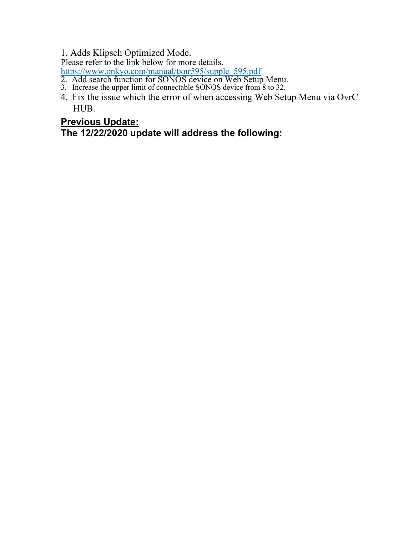1. Adds Klipsch Optimized Mode.

Please refer to the link below for more details.

https://www.onkyo.com/manual/txnr595/supple\_595.pdf

- 2. Add search function for SONOS device on Web Setup Menu.
- 3. Increase the upper limit of connectable SONOS device from 8 to 32.
- 4. Fix the issue which the error of when accessing Web Setup Menu via OvrC HUB.

#### **Previous Update:**

**The 12/22/2020 update will address the following:**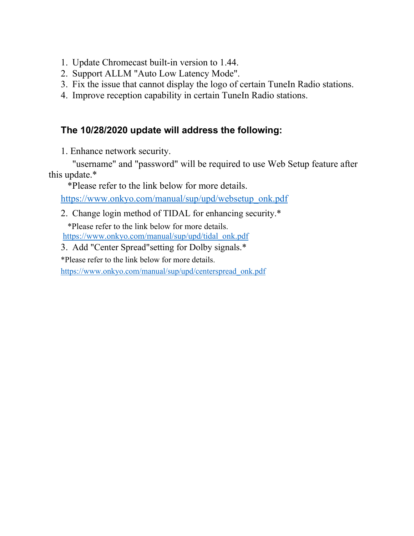- 1. Update Chromecast built-in version to 1.44.
- 2. Support ALLM "Auto Low Latency Mode".
- 3. Fix the issue that cannot display the logo of certain TuneIn Radio stations.
- 4. Improve reception capability in certain TuneIn Radio stations.

#### **The 10/28/2020 update will address the following:**

1. Enhance network security.

"username" and "password" will be required to use Web Setup feature after this update.\*

\*Please refer to the link below for more details.

https://www.onkyo.com/manual/sup/upd/websetup\_onk.pdf

2. Change login method of TIDAL for enhancing security.\*

\*Please refer to the link below for more details. https://www.onkyo.com/manual/sup/upd/tidal\_onk.pdf

- 3. Add "Center Spread"setting for Dolby signals.\*
- \*Please refer to the link below for more details.

https://www.onkyo.com/manual/sup/upd/centerspread\_onk.pdf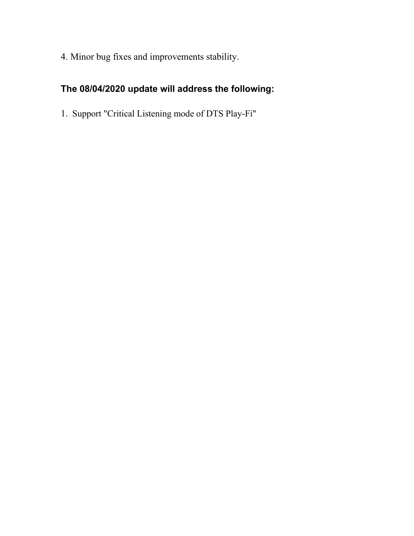4. Minor bug fixes and improvements stability.

## **The 08/04/2020 update will address the following:**

1. Support "Critical Listening mode of DTS Play-Fi"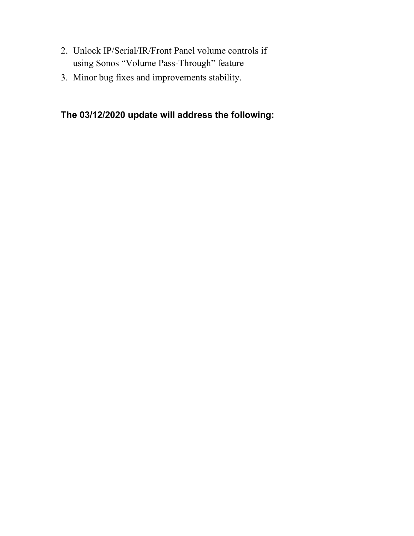- 2. Unlock IP/Serial/IR/Front Panel volume controls if using Sonos "Volume Pass-Through" feature
- 3. Minor bug fixes and improvements stability.

#### **The 03/12/2020 update will address the following:**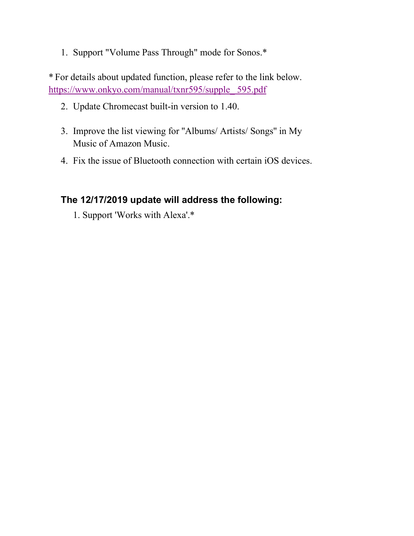1. Support "Volume Pass Through" mode for Sonos.\*

\* For details about updated function, please refer to the link below. https://www.onkyo.com/manual/txnr595/supple\_ 595.pdf

- 2. Update Chromecast built-in version to 1.40.
- 3. Improve the list viewing for ''Albums/ Artists/ Songs'' in My Music of Amazon Music.
- 4. Fix the issue of Bluetooth connection with certain iOS devices.

#### **The 12/17/2019 update will address the following:**

1. Support 'Works with Alexa'.\*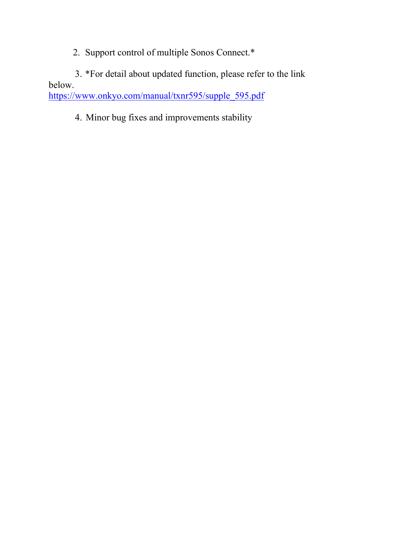2. Support control of multiple Sonos Connect.\*

3. \*For detail about updated function, please refer to the link below.

https://www.onkyo.com/manual/txnr595/supple\_595.pdf

4. Minor bug fixes and improvements stability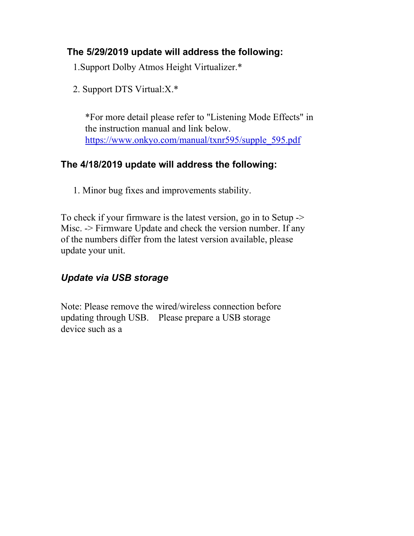#### **The 5/29/2019 update will address the following:**

1.Support Dolby Atmos Height Virtualizer.\*

2. Support DTS Virtual:X.\*

\*For more detail please refer to "Listening Mode Effects" in the instruction manual and link below. https://www.onkyo.com/manual/txnr595/supple\_595.pdf

#### **The 4/18/2019 update will address the following:**

1. Minor bug fixes and improvements stability.

To check if your firmware is the latest version, go in to Setup -> Misc. -> Firmware Update and check the version number. If any of the numbers differ from the latest version available, please update your unit.

## *Update via USB storage*

Note: Please remove the wired/wireless connection before updating through USB. Please prepare a USB storage device such as a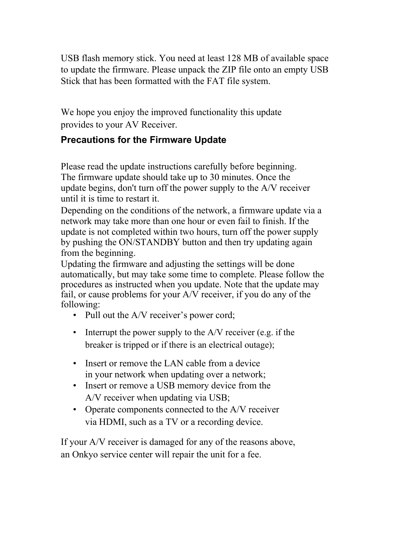USB flash memory stick. You need at least 128 MB of available space to update the firmware. Please unpack the ZIP file onto an empty USB Stick that has been formatted with the FAT file system.

We hope you enjoy the improved functionality this update provides to your AV Receiver.

#### **Precautions for the Firmware Update**

Please read the update instructions carefully before beginning. The firmware update should take up to 30 minutes. Once the update begins, don't turn off the power supply to the A/V receiver until it is time to restart it.

Depending on the conditions of the network, a firmware update via a network may take more than one hour or even fail to finish. If the update is not completed within two hours, turn off the power supply by pushing the ON/STANDBY button and then try updating again from the beginning.

Updating the firmware and adjusting the settings will be done automatically, but may take some time to complete. Please follow the procedures as instructed when you update. Note that the update may fail, or cause problems for your A/V receiver, if you do any of the following:

- Pull out the A/V receiver's power cord;
- Interrupt the power supply to the  $A/V$  receiver (e.g. if the breaker is tripped or if there is an electrical outage);
- Insert or remove the LAN cable from a device in your network when updating over a network;
- Insert or remove a USB memory device from the A/V receiver when updating via USB;
- Operate components connected to the A/V receiver via HDMI, such as a TV or a recording device.

If your A/V receiver is damaged for any of the reasons above, an Onkyo service center will repair the unit for a fee.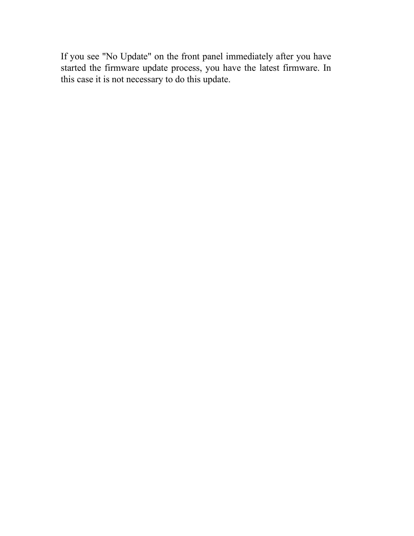If you see "No Update" on the front panel immediately after you have started the firmware update process, you have the latest firmware. In this case it is not necessary to do this update.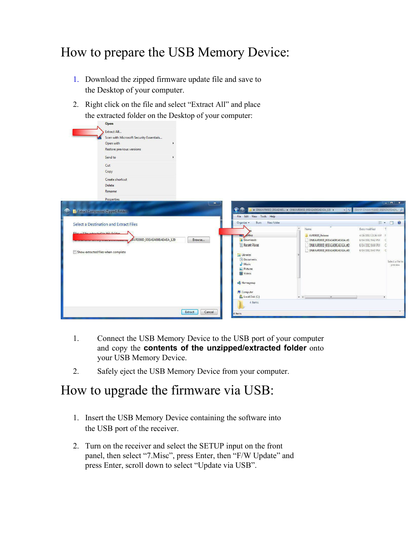# How to prepare the USB Memory Device:

- 1. Download the zipped firmware update file and save to the Desktop of your computer.
- 2. Right click on the file and select "Extract All" and place the extracted folder on the Desktop of your computer:<br>
<sub>Open</sub>

|                                         | <b>Press</b>                            |                   |                                                                     |                               |                                      |
|-----------------------------------------|-----------------------------------------|-------------------|---------------------------------------------------------------------|-------------------------------|--------------------------------------|
|                                         | Extract All                             |                   |                                                                     |                               |                                      |
|                                         | Scan with Microsoft Security Essentials |                   |                                                                     |                               |                                      |
|                                         | Open with                               |                   |                                                                     |                               |                                      |
|                                         | Restore previous versions               |                   |                                                                     |                               |                                      |
|                                         |                                         |                   |                                                                     |                               |                                      |
|                                         | Send to                                 |                   |                                                                     |                               |                                      |
|                                         | Cut                                     |                   |                                                                     |                               |                                      |
|                                         | Copy                                    |                   |                                                                     |                               |                                      |
|                                         | Create shortcut                         |                   |                                                                     |                               |                                      |
|                                         | <b>Delete</b>                           |                   |                                                                     |                               |                                      |
|                                         | Rename                                  |                   |                                                                     |                               |                                      |
|                                         |                                         |                   |                                                                     |                               |                                      |
|                                         | Properties                              |                   |                                                                     |                               | $  x$                                |
|                                         |                                         | ×.                |                                                                     |                               |                                      |
| Ø,                                      | Extract Compressed (Zipped) Folders     |                   | $\bullet$<br>ONKAVR000D_00EAEA00  > ONKAVR000D_00EAEA00EAEAEA_120 > |                               | + ++ Search ONKAVROOD ODEAEAOOEAEA p |
|                                         |                                         |                   | File Edit View Tools Help                                           |                               |                                      |
|                                         | Select a Destination and Extract Files  |                   | Burn New folder<br>Organize -                                       |                               | $E$ $\sim$ $\Box$ $\odot$            |
|                                         |                                         |                   |                                                                     | $\star$<br>Name               | Date modified<br>T                   |
| Filecujill he extracted to this folder. |                                         |                   | sktop                                                               | AVROOOD Release               | 4/26/2013 10:36 AM F                 |
|                                         | AVR000D_00EAEA00EAEAEA_120              | Browse            | Downloads                                                           | ONKAVR000D_00EAEA00EAEAEA.of1 | 6/14/2012 9:42 PM C                  |
|                                         |                                         |                   | <b>Recent Places</b>                                                | ONKAVROOOD_OOEAEAOOEAEAEA.&f2 | 6/14/2012 9:44 PM<br>$\epsilon$      |
|                                         | Show extracted files when complete      |                   |                                                                     | ONKAVR000D_00EAEA00EAEAEA.of3 | 6/14/2012 9:47 PM C                  |
|                                         |                                         |                   | $\equiv$ Libraries                                                  |                               |                                      |
|                                         |                                         |                   | Documents                                                           |                               | Select a file to                     |
|                                         |                                         |                   | Music<br>Pictures                                                   |                               | preview.                             |
|                                         |                                         |                   | Videos                                                              |                               |                                      |
|                                         |                                         |                   |                                                                     |                               |                                      |
|                                         |                                         |                   | <b>&amp;</b> Homegroup                                              |                               |                                      |
|                                         |                                         |                   |                                                                     |                               |                                      |
|                                         |                                         |                   | Computer                                                            |                               |                                      |
|                                         |                                         |                   | Local Disk (C:)                                                     | $x = 1$<br>$\overline{m}$     |                                      |
|                                         |                                         |                   | 4 items                                                             |                               |                                      |
|                                         |                                         | Extract<br>Cancel |                                                                     |                               |                                      |
|                                         |                                         |                   | 4 items                                                             |                               |                                      |
|                                         |                                         |                   |                                                                     |                               |                                      |

- 1. Connect the USB Memory Device to the USB port of your computer and copy the **contents of the unzipped/extracted folder** onto your USB Memory Device.
- 2. Safely eject the USB Memory Device from your computer.

## How to upgrade the firmware via USB:

- 1. Insert the USB Memory Device containing the software into the USB port of the receiver.
- 2. Turn on the receiver and select the SETUP input on the front panel, then select "7.Misc", press Enter, then "F/W Update" and press Enter, scroll down to select "Update via USB".